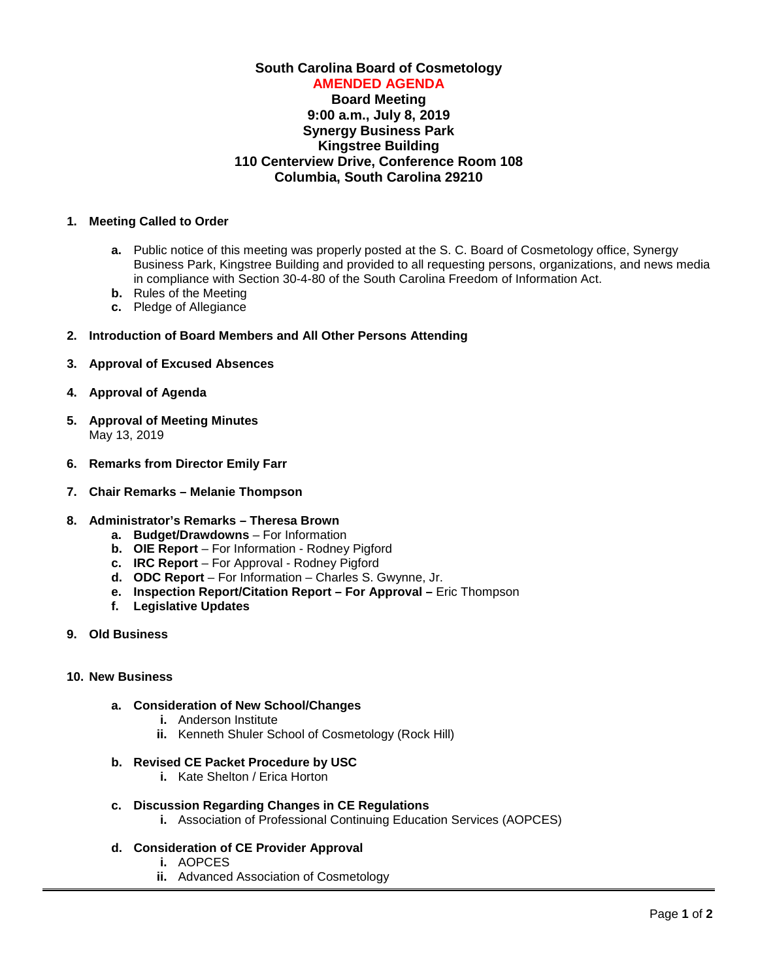# **South Carolina Board of Cosmetology AMENDED AGENDA Board Meeting 9:00 a.m., July 8, 2019 Synergy Business Park Kingstree Building 110 Centerview Drive, Conference Room 108**

# **Columbia, South Carolina 29210**

## **1. Meeting Called to Order**

- **a.** Public notice of this meeting was properly posted at the S. C. Board of Cosmetology office, Synergy Business Park, Kingstree Building and provided to all requesting persons, organizations, and news media in compliance with Section 30-4-80 of the South Carolina Freedom of Information Act.
- **b.** Rules of the Meeting
- **c.** Pledge of Allegiance

# **2. Introduction of Board Members and All Other Persons Attending**

- **3. Approval of Excused Absences**
- **4. Approval of Agenda**
- **5. Approval of Meeting Minutes** May 13, 2019
- **6. Remarks from Director Emily Farr**
- **7. Chair Remarks – Melanie Thompson**

#### **8. Administrator's Remarks – Theresa Brown**

- **a. Budget/Drawdowns**  For Information
- **b. OIE Report** For Information Rodney Pigford
- **c. IRC Report** For Approval Rodney Pigford
- **d. ODC Report** For Information Charles S. Gwynne, Jr.
- **e. Inspection Report/Citation Report – For Approval –** Eric Thompson
- **f. Legislative Updates**
- **9. Old Business**

#### **10. New Business**

#### **a. Consideration of New School/Changes**

- **i.** Anderson Institute
- **ii.** Kenneth Shuler School of Cosmetology (Rock Hill)

# **b. Revised CE Packet Procedure by USC**

- **i.** Kate Shelton / Erica Horton
- **c. Discussion Regarding Changes in CE Regulations**
	- **i.** Association of Professional Continuing Education Services (AOPCES)
- **d. Consideration of CE Provider Approval**
	- **i.** AOPCES
	- **ii.** Advanced Association of Cosmetology